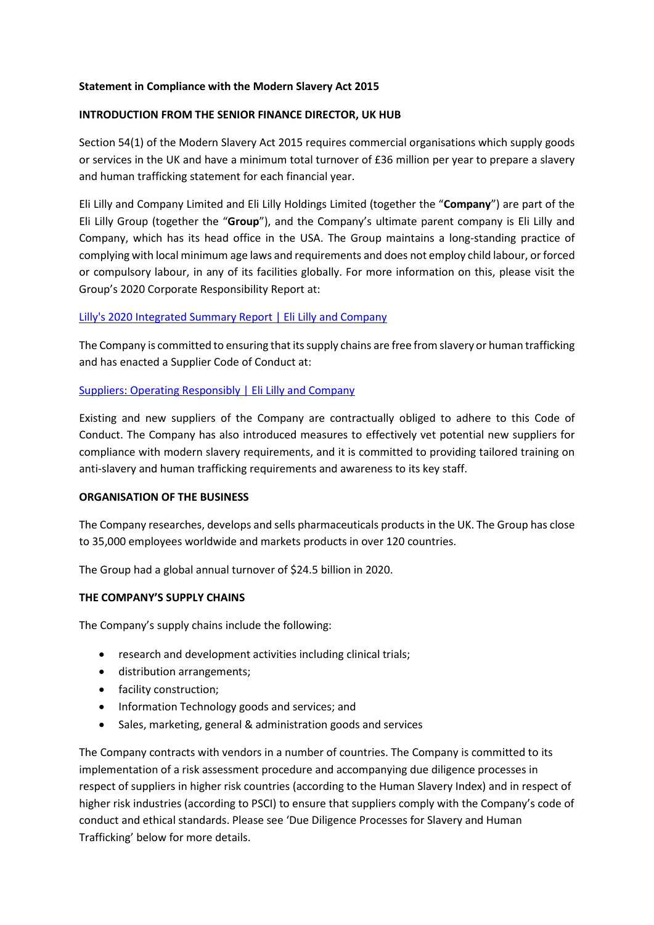### **Statement in Compliance with the Modern Slavery Act 2015**

### **INTRODUCTION FROM THE SENIOR FINANCE DIRECTOR, UK HUB**

Section 54(1) of the Modern Slavery Act 2015 requires commercial organisations which supply goods or services in the UK and have a minimum total turnover of £36 million per year to prepare a slavery and human trafficking statement for each financial year.

Eli Lilly and Company Limited and Eli Lilly Holdings Limited (together the "**Company**") are part of the Eli Lilly Group (together the "**Group**"), and the Company's ultimate parent company is Eli Lilly and Company, which has its head office in the USA. The Group maintains a long-standing practice of complying with local minimum age laws and requirements and does not employ child labour, or forced or compulsory labour, in any of its facilities globally. For more information on this, please visit the Group's 2020 Corporate Responsibility Report at:

### [Lilly's 2020 Integrated Summary Report | Eli Lilly and Company](https://www.lilly.com/policies-reports/integrated-summary-report)

The Company is committed to ensuring that itssupply chains are free from slavery or human trafficking and has enacted a Supplier Code of Conduct at:

### [Suppliers: Operating Responsibly | Eli Lilly and Company](https://www.lilly.com/suppliers/supplier-resources/operating-responsibly)

Existing and new suppliers of the Company are contractually obliged to adhere to this Code of Conduct. The Company has also introduced measures to effectively vet potential new suppliers for compliance with modern slavery requirements, and it is committed to providing tailored training on anti-slavery and human trafficking requirements and awareness to its key staff.

#### **ORGANISATION OF THE BUSINESS**

The Company researches, develops and sells pharmaceuticals products in the UK. The Group has close to 35,000 employees worldwide and markets products in over 120 countries.

The Group had a global annual turnover of \$24.5 billion in 2020.

#### **THE COMPANY'S SUPPLY CHAINS**

The Company's supply chains include the following:

- research and development activities including clinical trials;
- distribution arrangements;
- facility construction;
- Information Technology goods and services; and
- Sales, marketing, general & administration goods and services

The Company contracts with vendors in a number of countries. The Company is committed to its implementation of a risk assessment procedure and accompanying due diligence processes in respect of suppliers in higher risk countries (according to the Human Slavery Index) and in respect of higher risk industries (according to PSCI) to ensure that suppliers comply with the Company's code of conduct and ethical standards. Please see 'Due Diligence Processes for Slavery and Human Trafficking' below for more details.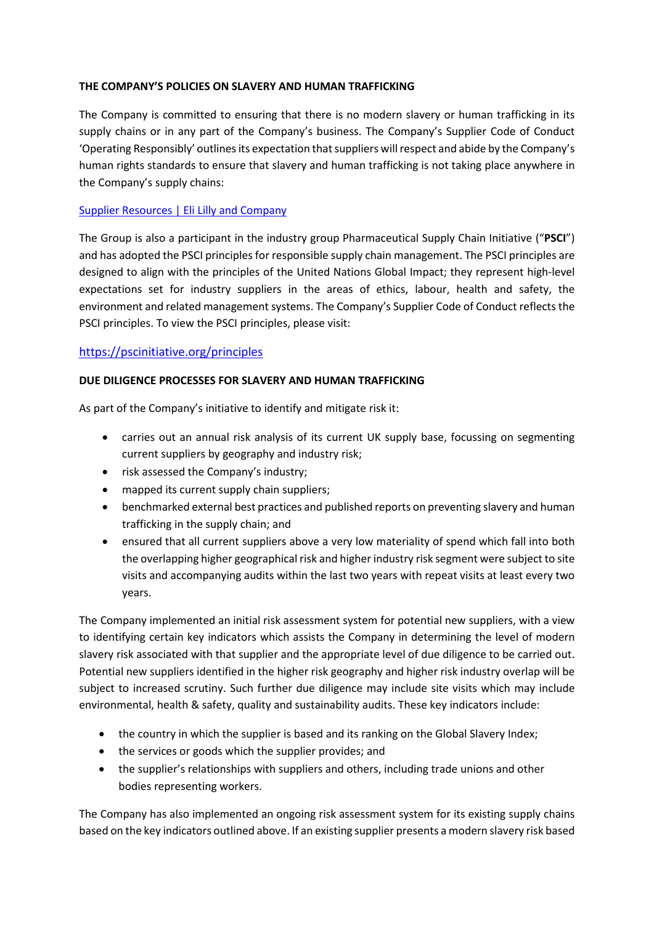### **THE COMPANY'S POLICIES ON SLAVERY AND HUMAN TRAFFICKING**

The Company is committed to ensuring that there is no modern slavery or human trafficking in its supply chains or in any part of the Company's business. The Company's Supplier Code of Conduct 'Operating Responsibly' outlines its expectation that suppliers will respect and abide by the Company's human rights standards to ensure that slavery and human trafficking is not taking place anywhere in the Company's supply chains:

# [Supplier Resources | Eli Lilly and Company](https://www.lilly.com/suppliers/supplier-resources)

The Group is also a participant in the industry group Pharmaceutical Supply Chain Initiative ("**PSCI**") and has adopted the PSCI principles for responsible supply chain management. The PSCI principles are designed to align with the principles of the United Nations Global Impact; they represent high-level expectations set for industry suppliers in the areas of ethics, labour, health and safety, the environment and related management systems. The Company's Supplier Code of Conduct reflects the PSCI principles. To view the PSCI principles, please visit:

# <https://pscinitiative.org/principles>

#### **DUE DILIGENCE PROCESSES FOR SLAVERY AND HUMAN TRAFFICKING**

As part of the Company's initiative to identify and mitigate risk it:

- carries out an annual risk analysis of its current UK supply base, focussing on segmenting current suppliers by geography and industry risk;
- risk assessed the Company's industry;
- mapped its current supply chain suppliers;
- benchmarked external best practices and published reports on preventing slavery and human trafficking in the supply chain; and
- ensured that all current suppliers above a very low materiality of spend which fall into both the overlapping higher geographical risk and higher industry risk segment were subject to site visits and accompanying audits within the last two years with repeat visits at least every two years.

The Company implemented an initial risk assessment system for potential new suppliers, with a view to identifying certain key indicators which assists the Company in determining the level of modern slavery risk associated with that supplier and the appropriate level of due diligence to be carried out. Potential new suppliers identified in the higher risk geography and higher risk industry overlap will be subject to increased scrutiny. Such further due diligence may include site visits which may include environmental, health & safety, quality and sustainability audits. These key indicators include:

- the country in which the supplier is based and its ranking on the Global Slavery Index;
- the services or goods which the supplier provides; and
- the supplier's relationships with suppliers and others, including trade unions and other bodies representing workers.

The Company has also implemented an ongoing risk assessment system for its existing supply chains based on the key indicators outlined above. If an existing supplier presents a modern slavery risk based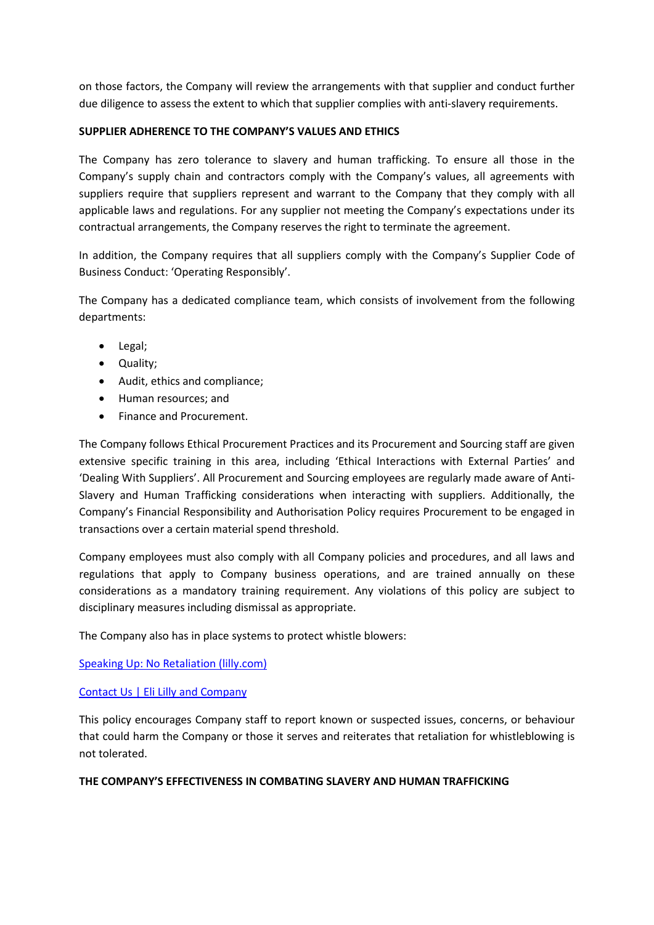on those factors, the Company will review the arrangements with that supplier and conduct further due diligence to assess the extent to which that supplier complies with anti-slavery requirements.

## **SUPPLIER ADHERENCE TO THE COMPANY'S VALUES AND ETHICS**

The Company has zero tolerance to slavery and human trafficking. To ensure all those in the Company's supply chain and contractors comply with the Company's values, all agreements with suppliers require that suppliers represent and warrant to the Company that they comply with all applicable laws and regulations. For any supplier not meeting the Company's expectations under its contractual arrangements, the Company reserves the right to terminate the agreement.

In addition, the Company requires that all suppliers comply with the Company's Supplier Code of Business Conduct: 'Operating Responsibly'.

The Company has a dedicated compliance team, which consists of involvement from the following departments:

- Legal;
- Quality;
- Audit, ethics and compliance;
- Human resources; and
- Finance and Procurement.

The Company follows Ethical Procurement Practices and its Procurement and Sourcing staff are given extensive specific training in this area, including 'Ethical Interactions with External Parties' and 'Dealing With Suppliers'. All Procurement and Sourcing employees are regularly made aware of Anti-Slavery and Human Trafficking considerations when interacting with suppliers. Additionally, the Company's Financial Responsibility and Authorisation Policy requires Procurement to be engaged in transactions over a certain material spend threshold.

Company employees must also comply with all Company policies and procedures, and all laws and regulations that apply to Company business operations, and are trained annually on these considerations as a mandatory training requirement. Any violations of this policy are subject to disciplinary measures including dismissal as appropriate.

The Company also has in place systems to protect whistle blowers:

[Speaking Up: No Retaliation \(lilly.com\)](https://now.lilly.com/policies/policies-and-procedures/speaking-up-no-retaliation)

# [Contact Us | Eli Lilly and Company](https://www.lilly.com/contact-us)

This policy encourages Company staff to report known or suspected issues, concerns, or behaviour that could harm the Company or those it serves and reiterates that retaliation for whistleblowing is not tolerated.

#### **THE COMPANY'S EFFECTIVENESS IN COMBATING SLAVERY AND HUMAN TRAFFICKING**